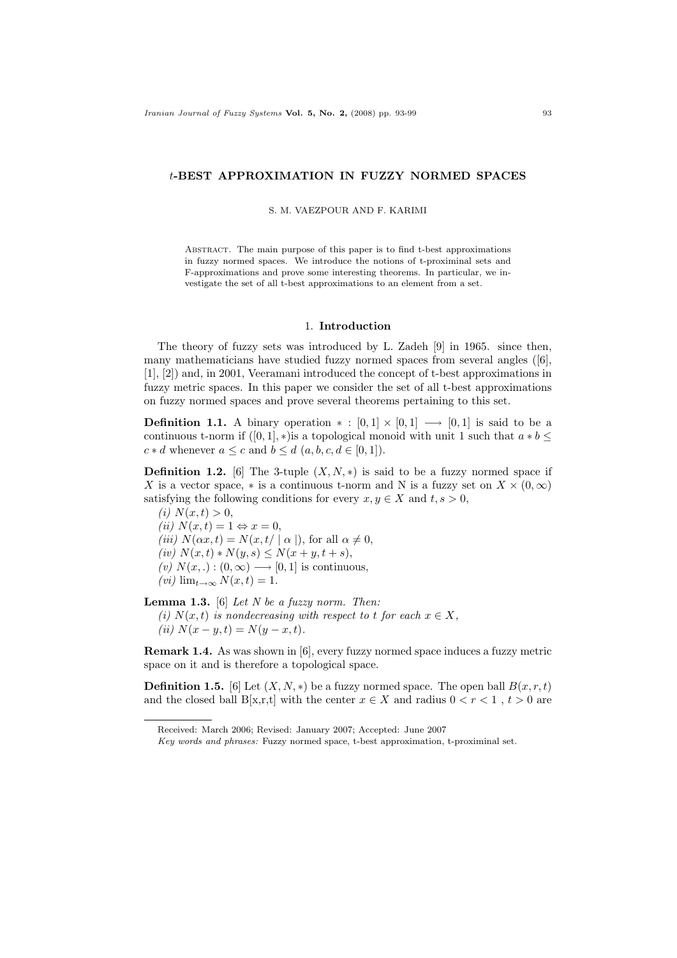## t-BEST APPROXIMATION IN FUZZY NORMED SPACES

S. M. VAEZPOUR AND F. KARIMI

Abstract. The main purpose of this paper is to find t-best approximations in fuzzy normed spaces. We introduce the notions of t-proximinal sets and F-approximations and prove some interesting theorems. In particular, we investigate the set of all t-best approximations to an element from a set.

## 1. Introduction

The theory of fuzzy sets was introduced by L. Zadeh [9] in 1965. since then, many mathematicians have studied fuzzy normed spaces from several angles ([6], [1], [2]) and, in 2001, Veeramani introduced the concept of t-best approximations in fuzzy metric spaces. In this paper we consider the set of all t-best approximations on fuzzy normed spaces and prove several theorems pertaining to this set.

**Definition 1.1.** A binary operation  $* : [0,1] \times [0,1] \longrightarrow [0,1]$  is said to be a continuous t-norm if  $([0, 1], *)$  is a topological monoid with unit 1 such that  $a * b \leq$  $c * d$  whenever  $a \leq c$  and  $b \leq d$   $(a, b, c, d \in [0, 1]).$ 

**Definition 1.2.** [6] The 3-tuple  $(X, N, *)$  is said to be a fuzzy normed space if X is a vector space, \* is a continuous t-norm and N is a fuzzy set on  $X \times (0, \infty)$ satisfying the following conditions for every  $x, y \in X$  and  $t, s > 0$ ,

(*i*)  $N(x, t) > 0$ , (ii)  $N(x,t) = 1 \Leftrightarrow x = 0$ , (iii)  $N(\alpha x, t) = N(x, t / \mid \alpha \mid)$ , for all  $\alpha \neq 0$ , (iv)  $N(x, t) * N(y, s) \le N(x + y, t + s),$ (v)  $N(x,.) : (0, \infty) \longrightarrow [0, 1]$  is continuous,  $(vi)$  lim<sub>t→∞</sub>  $N(x,t) = 1$ .

**Lemma 1.3.** [6] Let N be a fuzzy norm. Then: (i)  $N(x, t)$  is nondecreasing with respect to t for each  $x \in X$ ,

(ii)  $N(x - y, t) = N(y - x, t)$ .

Remark 1.4. As was shown in [6], every fuzzy normed space induces a fuzzy metric space on it and is therefore a topological space.

**Definition 1.5.** [6] Let  $(X, N, *)$  be a fuzzy normed space. The open ball  $B(x, r, t)$ and the closed ball B[x,r,t] with the center  $x \in X$  and radius  $0 < r < 1$ ,  $t > 0$  are

Received: March 2006; Revised: January 2007; Accepted: June 2007

Key words and phrases: Fuzzy normed space, t-best approximation, t-proximinal set.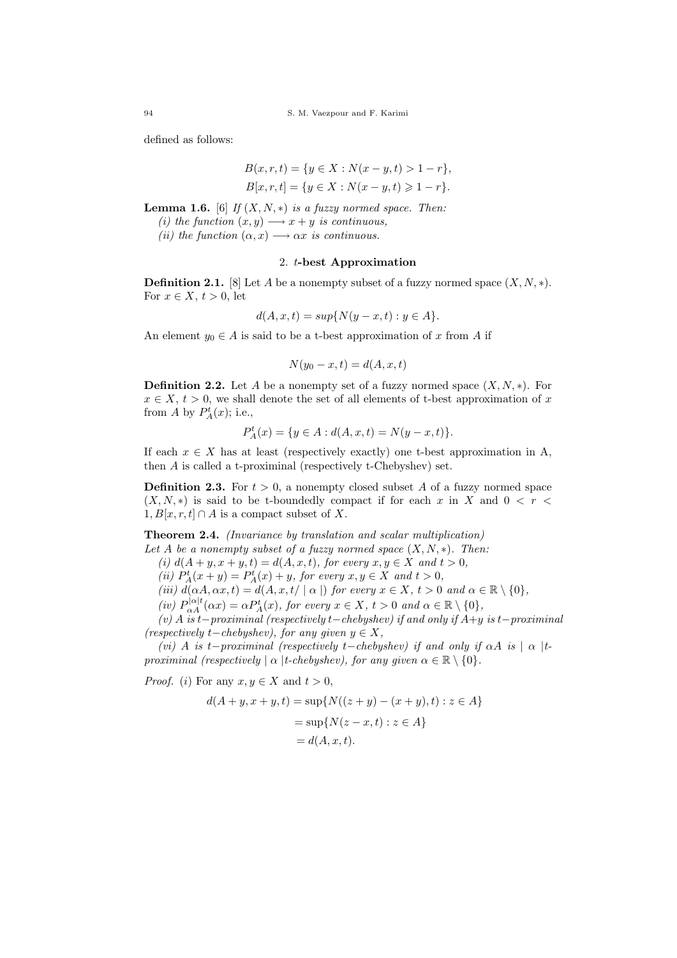defined as follows:

$$
B(x, r, t) = \{y \in X : N(x - y, t) > 1 - r\},\
$$
  

$$
B[x, r, t] = \{y \in X : N(x - y, t) \ge 1 - r\}.
$$

**Lemma 1.6.** [6] If  $(X, N, *)$  is a fuzzy normed space. Then: (i) the function  $(x, y) \rightarrow x + y$  is continuous, (ii) the function  $(\alpha, x) \longrightarrow \alpha x$  is continuous.

## 2. t-best Approximation

**Definition 2.1.** [8] Let A be a nonempty subset of a fuzzy normed space  $(X, N, *)$ . For  $x \in X$ ,  $t > 0$ , let

$$
d(A, x, t) = sup{N(y - x, t) : y \in A}.
$$

An element  $y_0 \in A$  is said to be a t-best approximation of x from A if

$$
N(y_0 - x, t) = d(A, x, t)
$$

**Definition 2.2.** Let A be a nonempty set of a fuzzy normed space  $(X, N, *)$ . For  $x \in X$ ,  $t > 0$ , we shall denote the set of all elements of t-best approximation of x from A by  $P_A^t(x)$ ; i.e.,

$$
P_A^t(x) = \{ y \in A : d(A, x, t) = N(y - x, t) \}.
$$

If each  $x \in X$  has at least (respectively exactly) one t-best approximation in A, then A is called a t-proximinal (respectively t-Chebyshev) set.

**Definition 2.3.** For  $t > 0$ , a nonempty closed subset A of a fuzzy normed space  $(X, N, *)$  is said to be t-boundedly compact if for each x in X and  $0 < r <$  $1, B[x, r, t] \cap A$  is a compact subset of X.

Theorem 2.4. (Invariance by translation and scalar multiplication)

Let A be a nonempty subset of a fuzzy normed space  $(X, N, *)$ . Then:

(i)  $d(A + y, x + y, t) = d(A, x, t)$ , for every  $x, y \in X$  and  $t > 0$ ,

(ii)  $P_A^t(x+y) = P_A^t(x) + y$ , for every  $x, y \in X$  and  $t > 0$ ,

(iii)  $d(\alpha A, \alpha x, t) = d(A, x, t / \mid \alpha \mid)$  for every  $x \in X$ ,  $t > 0$  and  $\alpha \in \mathbb{R} \setminus \{0\},$ 

(iv)  $P_{\alpha A}^{|\alpha|t}(\alpha x) = \alpha P_A^t(x)$ , for every  $x \in X$ ,  $t > 0$  and  $\alpha \in \mathbb{R} \setminus \{0\}$ ,

(v) A is t−proximinal (respectively t−chebyshev) if and only if  $A+y$  is t−proximinal (respectively t–chebyshev), for any given  $y \in X$ ,

(vi) A is t−proximinal (respectively t−chebyshev) if and only if  $\alpha A$  is  $| \alpha |$ tproximinal (respectively  $\alpha$  |t-chebyshev), for any given  $\alpha \in \mathbb{R} \setminus \{0\}$ .

*Proof.* (*i*) For any  $x, y \in X$  and  $t > 0$ ,

$$
d(A + y, x + y, t) = \sup \{ N((z + y) - (x + y), t) : z \in A \}
$$
  
=  $\sup \{ N(z - x, t) : z \in A \}$   
=  $d(A, x, t)$ .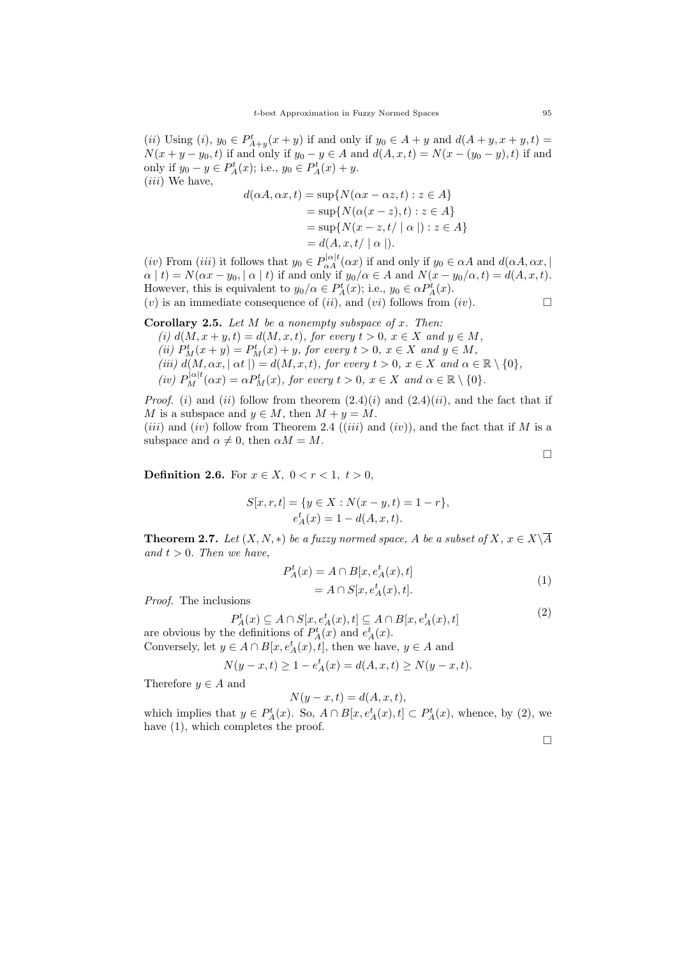(*ii*) Using (*i*),  $y_0 \in P_{A+y}^t(x+y)$  if and only if  $y_0 \in A+y$  and  $d(A+y, x+y, t)$  $N(x + y - y_0, t)$  if and only if  $y_0 - y \in A$  and  $d(A, x, t) = N(x - (y_0 - y), t)$  if and only if  $y_0 - y \in P_A^t(x)$ ; i.e.,  $y_0 \in P_A^t(x) + y$ . (*iii*) We have,

$$
d(\alpha A, \alpha x, t) = \sup \{ N(\alpha x - \alpha z, t) : z \in A \}
$$
  
= 
$$
\sup \{ N(\alpha (x - z), t) : z \in A \}
$$
  
= 
$$
\sup \{ N(x - z, t / | \alpha |) : z \in A \}
$$
  
= 
$$
d(A, x, t / | \alpha |).
$$

(iv) From (iii) it follows that  $y_0 \in P_{\alpha A}^{|\alpha| t}(\alpha x)$  if and only if  $y_0 \in \alpha A$  and  $d(\alpha A, \alpha x, \beta A)$  $\alpha | t$  = N( $\alpha x - y_0$ , |  $\alpha | t$ ) if and only if  $y_0/\alpha \in A$  and  $N(x - y_0/\alpha, t) = d(A, x, t)$ . However, this is equivalent to  $y_0/\alpha \in P_A^t(x)$ ; i.e.,  $y_0 \in \alpha P_A^t(x)$ . (v) is an immediate consequence of (ii), and (vi) follows from (iv).  $\Box$ 

**Corollary 2.5.** Let  $M$  be a nonempty subspace of  $x$ . Then: (i)  $d(M, x + y, t) = d(M, x, t)$ , for every  $t > 0$ ,  $x \in X$  and  $y \in M$ , (ii)  $P_M^t(x+y) = P_M^t(x) + y$ , for every  $t > 0$ ,  $x \in X$  and  $y \in M$ , (iii)  $d(M, \alpha x, |\alpha t|) = d(M, x, t)$ , for every  $t > 0$ ,  $x \in X$  and  $\alpha \in \mathbb{R} \setminus \{0\}$ , (iv)  $P_M^{|\alpha|t}(\alpha x) = \alpha P_M^t(x)$ , for every  $t > 0$ ,  $x \in X$  and  $\alpha \in \mathbb{R} \setminus \{0\}$ .

*Proof.* (i) and (ii) follow from theorem  $(2.4)(i)$  and  $(2.4)(ii)$ , and the fact that if M is a subspace and  $y \in M$ , then  $M + y = M$ .

(*iii*) and (*iv*) follow from Theorem 2.4 (*(iii*) and *(iv)*), and the fact that if M is a subspace and  $\alpha \neq 0$ , then  $\alpha M = M$ .

 $\Box$ 

**Definition 2.6.** For  $x \in X$ ,  $0 < r < 1$ ,  $t > 0$ ,

$$
S[x, r, t] = \{y \in X : N(x - y, t) = 1 - r\},\
$$
  

$$
e_A^t(x) = 1 - d(A, x, t).
$$

**Theorem 2.7.** Let  $(X, N, *)$  be a fuzzy normed space, A be a subset of  $X, x \in X\backslash \overline{A}$ and  $t > 0$ . Then we have,

$$
P_A^t(x) = A \cap B[x, e_A^t(x), t]
$$
  
=  $A \cap S[x, e_A^t(x), t].$  (1)

Proof. The inclusions

P

$$
b_A^t(x) \subseteq A \cap S[x, e_A^t(x), t] \subseteq A \cap B[x, e_A^t(x), t]
$$
\n<sup>(2)</sup>

are obvious by the definitions of  $P_A^t(x)$  and  $e_A^t(x)$ . Conversely, let  $y \in A \cap B[x, e^t_A(x), t]$ , then we have,  $y \in A$  and

$$
N(y - x, t) \ge 1 - e_A^t(x) = d(A, x, t) \ge N(y - x, t).
$$

Therefore  $y \in A$  and

$$
N(y - x, t) = d(A, x, t),
$$

which implies that  $y \in P_A^t(x)$ . So,  $A \cap B[x, e_A^t(x), t] \subset P_A^t(x)$ , whence, by (2), we have  $(1)$ , which completes the proof.

 $\Box$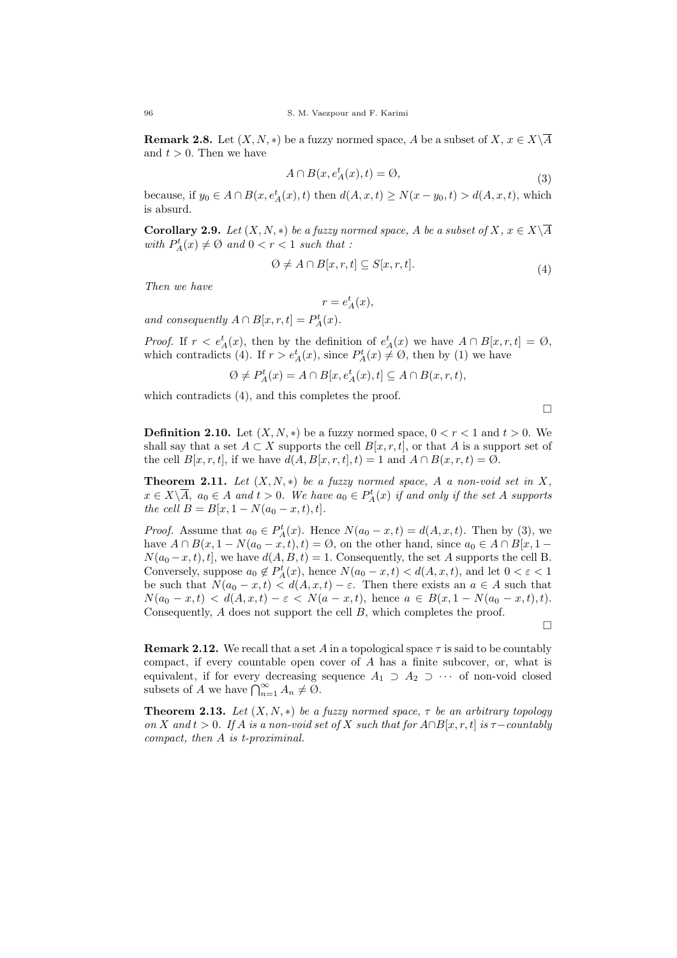**Remark 2.8.** Let  $(X, N, *)$  be a fuzzy normed space, A be a subset of  $X, x \in X\setminus\overline{A}$ and  $t > 0$ . Then we have

$$
A \cap B(x, e_A^t(x), t) = \emptyset,
$$
\n<sup>(3)</sup>

because, if  $y_0 \in A \cap B(x, e_A^t(x), t)$  then  $d(A, x, t) \ge N(x - y_0, t) > d(A, x, t)$ , which is absurd.

**Corollary 2.9.** Let  $(X, N, *)$  be a fuzzy normed space, A be a subset of  $X, x \in X\backslash \overline{A}$ with  $P_A^t(x) \neq \emptyset$  and  $0 < r < 1$  such that :

$$
\emptyset \neq A \cap B[x, r, t] \subseteq S[x, r, t]. \tag{4}
$$

Then we have

$$
r = e_A^t(x),
$$

and consequently  $A \cap B[x, r, t] = P_A^t(x)$ .

*Proof.* If  $r < e^t_A(x)$ , then by the definition of  $e^t_A(x)$  we have  $A \cap B[x, r, t] = \emptyset$ , which contradicts (4). If  $r > e^t_A(x)$ , since  $P^t_A(x) \neq \emptyset$ , then by (1) we have

$$
\emptyset \neq P_A^t(x) = A \cap B[x, e_A^t(x), t] \subseteq A \cap B(x, r, t),
$$

which contradicts (4), and this completes the proof.

 $\Box$ 

**Definition 2.10.** Let  $(X, N, *)$  be a fuzzy normed space,  $0 < r < 1$  and  $t > 0$ . We shall say that a set  $A \subset X$  supports the cell  $B[x, r, t]$ , or that A is a support set of the cell  $B[x, r, t]$ , if we have  $d(A, B[x, r, t], t) = 1$  and  $A \cap B(x, r, t) = \emptyset$ .

**Theorem 2.11.** Let  $(X, N, *)$  be a fuzzy normed space, A a non-void set in X,  $x \in X \backslash \overline{A}$ ,  $a_0 \in A$  and  $t > 0$ . We have  $a_0 \in P_A^t(x)$  if and only if the set A supports the cell  $B = B[x, 1 - N(a_0 - x, t), t].$ 

*Proof.* Assume that  $a_0 \in P_A^t(x)$ . Hence  $N(a_0 - x, t) = d(A, x, t)$ . Then by (3), we have  $A \cap B(x, 1 - N(a_0 - x, t), t) = \emptyset$ , on the other hand, since  $a_0 \in A \cap B[x, 1 N(a_0-x, t), t$ , we have  $d(A, B, t) = 1$ . Consequently, the set A supports the cell B. Conversely, suppose  $a_0 \notin P_A^t(x)$ , hence  $N(a_0 - x, t) < d(A, x, t)$ , and let  $0 < \varepsilon < 1$ be such that  $N(a_0 - x, t) < d(A, x, t) - \varepsilon$ . Then there exists an  $a \in A$  such that  $N(a_0 - x, t) < d(A, x, t) - \varepsilon < N(a - x, t)$ , hence  $a \in B(x, 1 - N(a_0 - x, t), t)$ . Consequently, A does not support the cell B, which completes the proof.

 $\Box$ 

**Remark 2.12.** We recall that a set A in a topological space  $\tau$  is said to be countably compact, if every countable open cover of  $A$  has a finite subcover, or, what is equivalent, if for every decreasing sequence  $A_1 \supset A_2 \supset \cdots$  of non-void closed subsets of A we have  $\bigcap_{n=1}^{\infty} A_n \neq \emptyset$ .

**Theorem 2.13.** Let  $(X, N, *)$  be a fuzzy normed space,  $\tau$  be an arbitrary topology on X and  $t > 0$ . If A is a non-void set of X such that for  $A \cap B[x, r, t]$  is  $\tau$ -countably compact, then A is t-proximinal.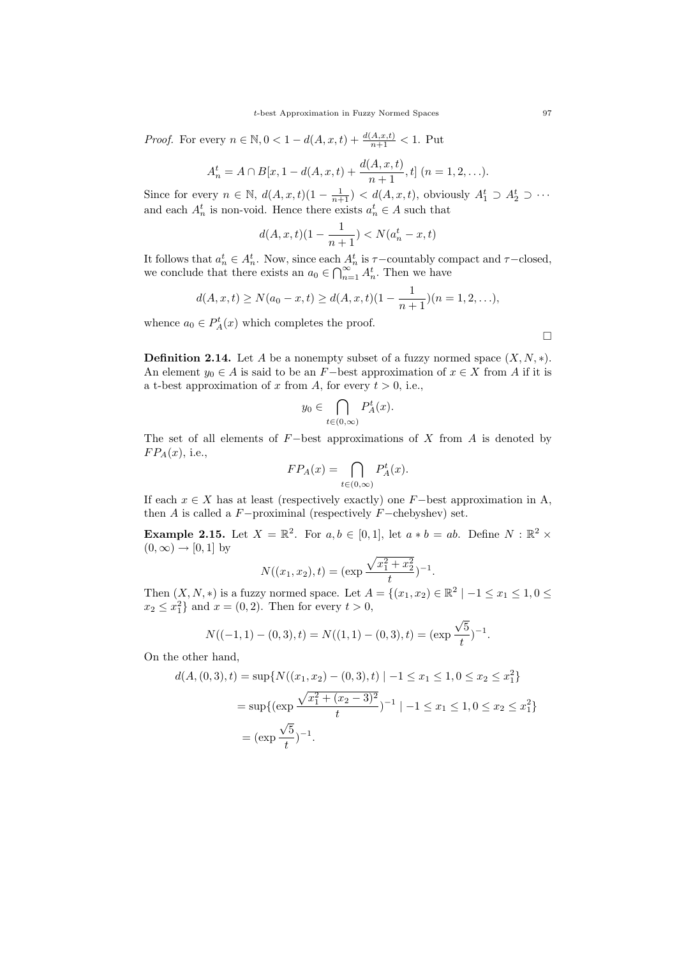*Proof.* For every  $n \in \mathbb{N}, 0 < 1 - d(A, x, t) + \frac{d(A, x, t)}{n+1} < 1$ . Put

$$
A_n^t = A \cap B[x, 1 - d(A, x, t) + \frac{d(A, x, t)}{n + 1}, t] \quad (n = 1, 2, \ldots).
$$

Since for every  $n \in \mathbb{N}$ ,  $d(A, x, t)(1 - \frac{1}{n+1}) < d(A, x, t)$ , obviously  $A_1^t \supset A_2^t \supset \cdots$ and each  $A_n^t$  is non-void. Hence there exists  $a_n^t \in A$  such that

$$
d(A, x, t)(1 - \frac{1}{n+1}) < N(a_n^t - x, t)
$$

It follows that  $a_n^t \in A_n^t$ . Now, since each  $A_n^t$  is  $\tau$ -countably compact and  $\tau$ -closed, we conclude that there exists an  $a_0 \in \bigcap_{n=1}^{\infty} A_n^t$ . Then we have

$$
d(A, x, t) \ge N(a_0 - x, t) \ge d(A, x, t)(1 - \frac{1}{n+1})(n = 1, 2, \ldots),
$$

whence  $a_0 \in P^t_A(x)$  which completes the proof.

 $\Box$ 

**Definition 2.14.** Let A be a nonempty subset of a fuzzy normed space  $(X, N, *)$ . An element  $y_0 \in A$  is said to be an F−best approximation of  $x \in X$  from A if it is a t-best approximation of x from A, for every  $t > 0$ , i.e.,

$$
y_0 \in \bigcap_{t \in (0,\infty)} P_A^t(x).
$$

The set of all elements of  $F$ −best approximations of X from A is denoted by  $FP_A(x)$ , i.e.,

$$
FP_A(x) = \bigcap_{t \in (0,\infty)} P_A^t(x).
$$

If each  $x \in X$  has at least (respectively exactly) one F-best approximation in A, then A is called a  $F$ -proximinal (respectively  $F$ -chebyshev) set.

**Example 2.15.** Let  $X = \mathbb{R}^2$ . For  $a, b \in [0, 1]$ , let  $a * b = ab$ . Define  $N : \mathbb{R}^2 \times$  $(0,\infty) \rightarrow [0,1]$  by

$$
N((x_1, x_2), t) = (\exp \frac{\sqrt{x_1^2 + x_2^2}}{t})^{-1}.
$$

Then  $(X, N, *)$  is a fuzzy normed space. Let  $A = \{(x_1, x_2) \in \mathbb{R}^2 \mid -1 \le x_1 \le 1, 0 \le x_2 \le 1\}$  $x_2 \leq x_1^2$  and  $x = (0, 2)$ . Then for every  $t > 0$ , √

$$
N((-1,1)-(0,3),t) = N((1,1)-(0,3),t) = (\exp \frac{\sqrt{5}}{t})^{-1}.
$$

On the other hand,

$$
d(A, (0,3), t) = \sup \{ N((x_1, x_2) - (0,3), t) \mid -1 \le x_1 \le 1, 0 \le x_2 \le x_1^2 \}
$$
  
= 
$$
\sup \{ (\exp \frac{\sqrt{x_1^2 + (x_2 - 3)^2}}{t})^{-1} \mid -1 \le x_1 \le 1, 0 \le x_2 \le x_1^2 \}
$$
  
= 
$$
(\exp \frac{\sqrt{5}}{t})^{-1}.
$$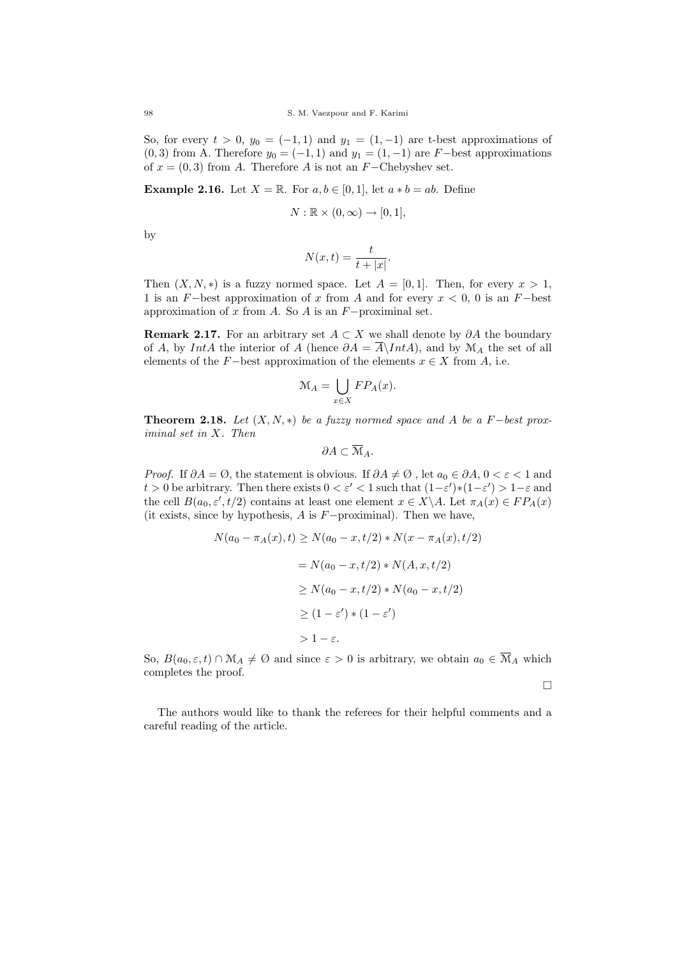So, for every  $t > 0$ ,  $y_0 = (-1, 1)$  and  $y_1 = (1, -1)$  are t-best approximations of  $(0, 3)$  from A. Therefore  $y_0 = (-1, 1)$  and  $y_1 = (1, -1)$  are F-best approximations of  $x = (0, 3)$  from A. Therefore A is not an F-Chebyshev set.

**Example 2.16.** Let  $X = \mathbb{R}$ . For  $a, b \in [0, 1]$ , let  $a * b = ab$ . Define

$$
N: \mathbb{R} \times (0, \infty) \to [0, 1],
$$

by

$$
N(x,t) = \frac{t}{t+|x|}.
$$

Then  $(X, N, *)$  is a fuzzy normed space. Let  $A = [0, 1]$ . Then, for every  $x > 1$ , 1 is an F−best approximation of x from A and for every  $x < 0$ , 0 is an F−best approximation of x from A. So A is an  $F$ -proximinal set.

Remark 2.17. For an arbitrary set  $A \subset X$  we shall denote by  $\partial A$  the boundary of A, by IntA the interior of A (hence  $\partial A = \overline{A} \setminus IntA$ ), and by  $\mathcal{M}_A$  the set of all elements of the F−best approximation of the elements  $x \in X$  from A, i.e.

$$
\mathcal{M}_A = \bigcup_{x \in X} FP_A(x).
$$

**Theorem 2.18.** Let  $(X, N, *)$  be a fuzzy normed space and A be a F−best proximinal set in X. Then

$$
\partial A \subset \overline{\mathcal{M}}_A.
$$

*Proof.* If  $\partial A = \emptyset$ , the statement is obvious. If  $\partial A \neq \emptyset$ , let  $a_0 \in \partial A$ ,  $0 < \varepsilon < 1$  and t > 0 be arbitrary. Then there exists  $0 < \varepsilon' < 1$  such that  $(1-\varepsilon')*(1-\varepsilon') > 1-\varepsilon$  and the cell  $B(a_0, \varepsilon', t/2)$  contains at least one element  $x \in X \backslash A$ . Let  $\pi_A(x) \in FP_A(x)$ (it exists, since by hypothesis, A is F−proximinal). Then we have,

$$
N(a_0 - \pi_A(x), t) \ge N(a_0 - x, t/2) * N(x - \pi_A(x), t/2)
$$
  
=  $N(a_0 - x, t/2) * N(A, x, t/2)$   

$$
\ge N(a_0 - x, t/2) * N(a_0 - x, t/2)
$$
  

$$
\ge (1 - \varepsilon') * (1 - \varepsilon')
$$
  

$$
> 1 - \varepsilon.
$$

So,  $B(a_0, \varepsilon, t) \cap \mathcal{M}_A \neq \emptyset$  and since  $\varepsilon > 0$  is arbitrary, we obtain  $a_0 \in \overline{\mathcal{M}}_A$  which completes the proof.

 $\Box$ 

The authors would like to thank the referees for their helpful comments and a careful reading of the article.